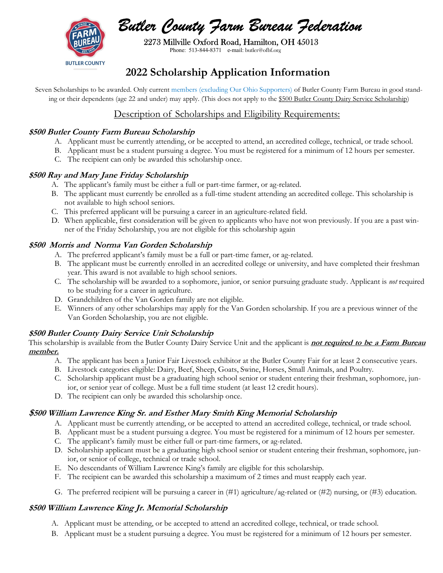

**BUTLER COUNTY** 

 2273 Millville Oxford Road, Hamilton, OH 45013 Phone: 513-844-8371 e-mail: butler@ofbf.org

# 2022 Scholarship Application Information

Seven Scholarships to be awarded. Only current members (excluding Our Ohio Supporters) of Butler County Farm Bureau in good standing or their dependents (age 22 and under) may apply. (This does not apply to the \$500 Butler County Dairy Service Scholarship)

## Description of Scholarships and Eligibility Requirements:

### \$500 Butler County Farm Bureau Scholarship

- A. Applicant must be currently attending, or be accepted to attend, an accredited college, technical, or trade school.
- B. Applicant must be a student pursuing a degree. You must be registered for a minimum of 12 hours per semester.
- C. The recipient can only be awarded this scholarship once.

#### \$500 Ray and Mary Jane Friday Scholarship

- A. The applicant's family must be either a full or part-time farmer, or ag-related.
- B. The applicant must currently be enrolled as a full-time student attending an accredited college. This scholarship is not available to high school seniors.
- C. This preferred applicant will be pursuing a career in an agriculture-related field.
- D. When applicable, first consideration will be given to applicants who have not won previously. If you are a past winner of the Friday Scholarship, you are not eligible for this scholarship again

### \$500 Morris and Norma Van Gorden Scholarship

- A. The preferred applicant's family must be a full or part-time famer, or ag-related.
- B. The applicant must be currently enrolled in an accredited college or university, and have completed their freshman year. This award is not available to high school seniors.
- C. The scholarship will be awarded to a sophomore, junior, or senior pursuing graduate study. Applicant is not required to be studying for a career in agriculture.
- D. Grandchildren of the Van Gorden family are not eligible.
- E. Winners of any other scholarships may apply for the Van Gorden scholarship. If you are a previous winner of the Van Gorden Scholarship, you are not eligible.

### \$500 Butler County Dairy Service Unit Scholarship

This scholarship is available from the Butler County Dairy Service Unit and the applicant is **not required to be a Farm Bureau** member.

- A. The applicant has been a Junior Fair Livestock exhibitor at the Butler County Fair for at least 2 consecutive years.
- B. Livestock categories eligible: Dairy, Beef, Sheep, Goats, Swine, Horses, Small Animals, and Poultry.
- C. Scholarship applicant must be a graduating high school senior or student entering their freshman, sophomore, junior, or senior year of college. Must be a full time student (at least 12 credit hours).
- D. The recipient can only be awarded this scholarship once.

### \$500 William Lawrence King Sr. and Esther Mary Smith King Memorial Scholarship

- A. Applicant must be currently attending, or be accepted to attend an accredited college, technical, or trade school.
- B. Applicant must be a student pursuing a degree. You must be registered for a minimum of 12 hours per semester.
- C. The applicant's family must be either full or part-time farmers, or ag-related.
- D. Scholarship applicant must be a graduating high school senior or student entering their freshman, sophomore, junior, or senior of college, technical or trade school.
- E. No descendants of William Lawrence King's family are eligible for this scholarship.
- F. The recipient can be awarded this scholarship a maximum of 2 times and must reapply each year.
- G. The preferred recipient will be pursuing a career in  $(\#1)$  agriculture/ag-related or  $(\#2)$  nursing, or  $(\#3)$  education.

### \$500 William Lawrence King Jr. Memorial Scholarship

- A. Applicant must be attending, or be accepted to attend an accredited college, technical, or trade school.
- B. Applicant must be a student pursuing a degree. You must be registered for a minimum of 12 hours per semester.